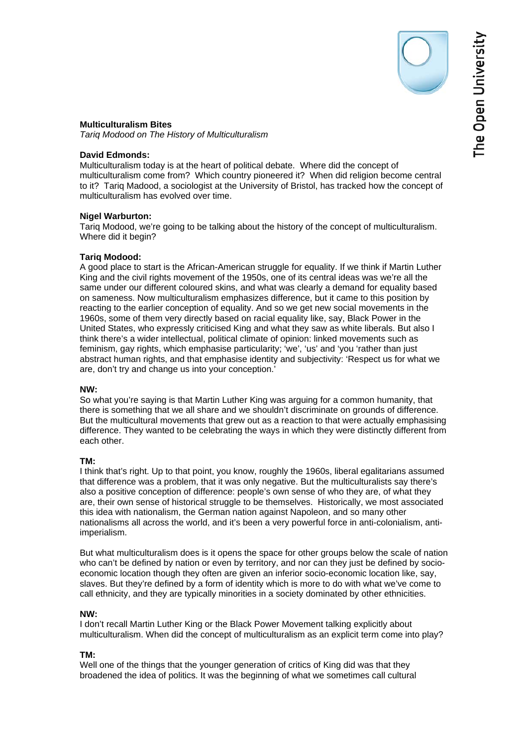The Open University

### **Multiculturalism Bites**

*Tariq Modood on The History of Multiculturalism* 

# **David Edmonds:**

Multiculturalism today is at the heart of political debate. Where did the concept of multiculturalism come from? Which country pioneered it? When did religion become central to it? Tariq Madood, a sociologist at the University of Bristol, has tracked how the concept of multiculturalism has evolved over time.

#### **Nigel Warburton:**

Tariq Modood, we're going to be talking about the history of the concept of multiculturalism. Where did it begin?

#### **Tariq Modood:**

A good place to start is the African-American struggle for equality. If we think if Martin Luther King and the civil rights movement of the 1950s, one of its central ideas was we're all the same under our different coloured skins, and what was clearly a demand for equality based on sameness. Now multiculturalism emphasizes difference, but it came to this position by reacting to the earlier conception of equality. And so we get new social movements in the 1960s, some of them very directly based on racial equality like, say, Black Power in the United States, who expressly criticised King and what they saw as white liberals. But also I think there's a wider intellectual, political climate of opinion: linked movements such as feminism, gay rights, which emphasise particularity; 'we', 'us' and 'you 'rather than just abstract human rights, and that emphasise identity and subjectivity: 'Respect us for what we are, don't try and change us into your conception.'

#### **NW:**

So what you're saying is that Martin Luther King was arguing for a common humanity, that there is something that we all share and we shouldn't discriminate on grounds of difference. But the multicultural movements that grew out as a reaction to that were actually emphasising difference. They wanted to be celebrating the ways in which they were distinctly different from each other.

#### **TM:**

I think that's right. Up to that point, you know, roughly the 1960s, liberal egalitarians assumed that difference was a problem, that it was only negative. But the multiculturalists say there's also a positive conception of difference: people's own sense of who they are, of what they are, their own sense of historical struggle to be themselves. Historically, we most associated this idea with nationalism, the German nation against Napoleon, and so many other nationalisms all across the world, and it's been a very powerful force in anti-colonialism, antiimperialism.

But what multiculturalism does is it opens the space for other groups below the scale of nation who can't be defined by nation or even by territory, and nor can they just be defined by socioeconomic location though they often are given an inferior socio-economic location like, say, slaves. But they're defined by a form of identity which is more to do with what we've come to call ethnicity, and they are typically minorities in a society dominated by other ethnicities.

# **NW:**

I don't recall Martin Luther King or the Black Power Movement talking explicitly about multiculturalism. When did the concept of multiculturalism as an explicit term come into play?

# **TM:**

Well one of the things that the younger generation of critics of King did was that they broadened the idea of politics. It was the beginning of what we sometimes call cultural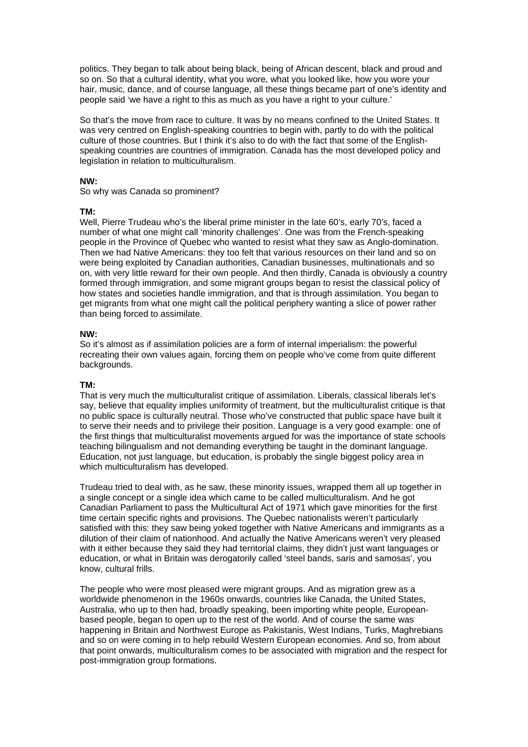politics. They began to talk about being black, being of African descent, black and proud and so on. So that a cultural identity, what you wore, what you looked like, how you wore your hair, music, dance, and of course language, all these things became part of one's identity and people said 'we have a right to this as much as you have a right to your culture.'

So that's the move from race to culture. It was by no means confined to the United States. It was very centred on English-speaking countries to begin with, partly to do with the political culture of those countries. But I think it's also to do with the fact that some of the Englishspeaking countries are countries of immigration. Canada has the most developed policy and legislation in relation to multiculturalism.

### **NW:**

So why was Canada so prominent?

#### **TM:**

Well, Pierre Trudeau who's the liberal prime minister in the late 60's, early 70's, faced a number of what one might call 'minority challenges'. One was from the French-speaking people in the Province of Quebec who wanted to resist what they saw as Anglo-domination. Then we had Native Americans: they too felt that various resources on their land and so on were being exploited by Canadian authorities, Canadian businesses, multinationals and so on, with very little reward for their own people. And then thirdly, Canada is obviously a country formed through immigration, and some migrant groups began to resist the classical policy of how states and societies handle immigration, and that is through assimilation. You began to get migrants from what one might call the political periphery wanting a slice of power rather than being forced to assimilate.

### **NW:**

So it's almost as if assimilation policies are a form of internal imperialism: the powerful recreating their own values again, forcing them on people who've come from quite different backgrounds.

# **TM:**

That is very much the multiculturalist critique of assimilation. Liberals, classical liberals let's say, believe that equality implies uniformity of treatment, but the multiculturalist critique is that no public space is culturally neutral. Those who've constructed that public space have built it to serve their needs and to privilege their position. Language is a very good example: one of the first things that multiculturalist movements argued for was the importance of state schools teaching bilingualism and not demanding everything be taught in the dominant language. Education, not just language, but education, is probably the single biggest policy area in which multiculturalism has developed.

Trudeau tried to deal with, as he saw, these minority issues, wrapped them all up together in a single concept or a single idea which came to be called multiculturalism. And he got Canadian Parliament to pass the Multicultural Act of 1971 which gave minorities for the first time certain specific rights and provisions. The Quebec nationalists weren't particularly satisfied with this: they saw being yoked together with Native Americans and immigrants as a dilution of their claim of nationhood. And actually the Native Americans weren't very pleased with it either because they said they had territorial claims, they didn't just want languages or education, or what in Britain was derogatorily called 'steel bands, saris and samosas', you know, cultural frills.

The people who were most pleased were migrant groups. And as migration grew as a worldwide phenomenon in the 1960s onwards, countries like Canada, the United States, Australia, who up to then had, broadly speaking, been importing white people, Europeanbased people, began to open up to the rest of the world. And of course the same was happening in Britain and Northwest Europe as Pakistanis, West Indians, Turks, Maghrebians and so on were coming in to help rebuild Western European economies. And so, from about that point onwards, multiculturalism comes to be associated with migration and the respect for post-immigration group formations.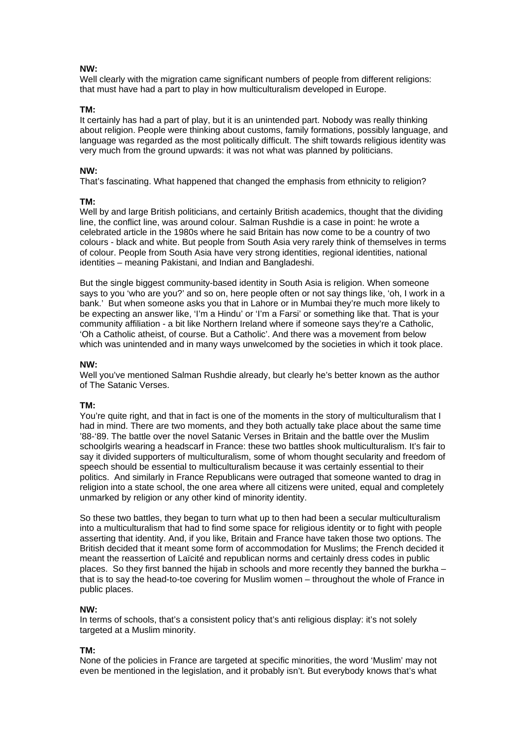# **NW:**

Well clearly with the migration came significant numbers of people from different religions: that must have had a part to play in how multiculturalism developed in Europe.

# **TM:**

It certainly has had a part of play, but it is an unintended part. Nobody was really thinking about religion. People were thinking about customs, family formations, possibly language, and language was regarded as the most politically difficult. The shift towards religious identity was very much from the ground upwards: it was not what was planned by politicians.

# **NW:**

That's fascinating. What happened that changed the emphasis from ethnicity to religion?

# **TM:**

Well by and large British politicians, and certainly British academics, thought that the dividing line, the conflict line, was around colour. Salman Rushdie is a case in point: he wrote a celebrated article in the 1980s where he said Britain has now come to be a country of two colours - black and white. But people from South Asia very rarely think of themselves in terms of colour. People from South Asia have very strong identities, regional identities, national identities – meaning Pakistani, and Indian and Bangladeshi.

But the single biggest community-based identity in South Asia is religion. When someone says to you 'who are you?' and so on, here people often or not say things like, 'oh, I work in a bank.' But when someone asks you that in Lahore or in Mumbai they're much more likely to be expecting an answer like, 'I'm a Hindu' or 'I'm a Farsi' or something like that. That is your community affiliation - a bit like Northern Ireland where if someone says they're a Catholic, 'Oh a Catholic atheist, of course. But a Catholic'. And there was a movement from below which was unintended and in many ways unwelcomed by the societies in which it took place.

# **NW:**

Well you've mentioned Salman Rushdie already, but clearly he's better known as the author of The Satanic Verses.

# **TM:**

You're quite right, and that in fact is one of the moments in the story of multiculturalism that I had in mind. There are two moments, and they both actually take place about the same time '88-'89. The battle over the novel Satanic Verses in Britain and the battle over the Muslim schoolgirls wearing a headscarf in France: these two battles shook multiculturalism. It's fair to say it divided supporters of multiculturalism, some of whom thought secularity and freedom of speech should be essential to multiculturalism because it was certainly essential to their politics. And similarly in France Republicans were outraged that someone wanted to drag in religion into a state school, the one area where all citizens were united, equal and completely unmarked by religion or any other kind of minority identity.

So these two battles, they began to turn what up to then had been a secular multiculturalism into a multiculturalism that had to find some space for religious identity or to fight with people asserting that identity. And, if you like, Britain and France have taken those two options. The British decided that it meant some form of accommodation for Muslims; the French decided it meant the reassertion of Laïcité and republican norms and certainly dress codes in public places. So they first banned the hijab in schools and more recently they banned the burkha – that is to say the head-to-toe covering for Muslim women – throughout the whole of France in public places.

# **NW:**

In terms of schools, that's a consistent policy that's anti religious display: it's not solely targeted at a Muslim minority.

# **TM:**

None of the policies in France are targeted at specific minorities, the word 'Muslim' may not even be mentioned in the legislation, and it probably isn't. But everybody knows that's what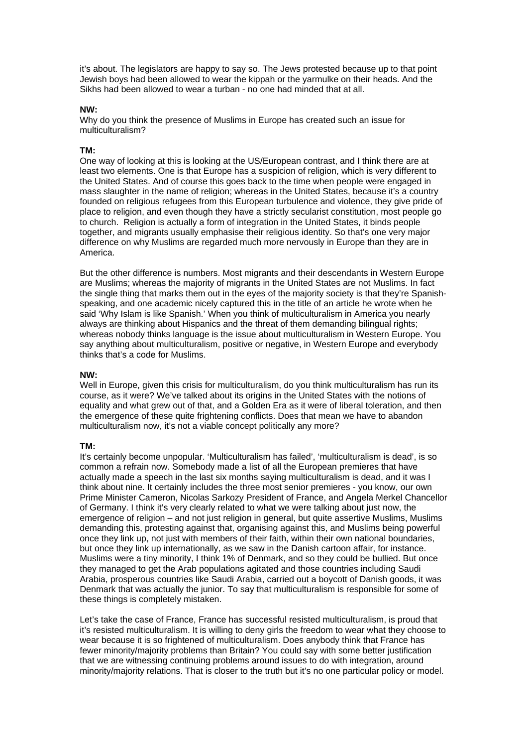it's about. The legislators are happy to say so. The Jews protested because up to that point Jewish boys had been allowed to wear the kippah or the yarmulke on their heads. And the Sikhs had been allowed to wear a turban - no one had minded that at all.

### **NW:**

Why do you think the presence of Muslims in Europe has created such an issue for multiculturalism?

# **TM:**

One way of looking at this is looking at the US/European contrast, and I think there are at least two elements. One is that Europe has a suspicion of religion, which is very different to the United States. And of course this goes back to the time when people were engaged in mass slaughter in the name of religion; whereas in the United States, because it's a country founded on religious refugees from this European turbulence and violence, they give pride of place to religion, and even though they have a strictly secularist constitution, most people go to church. Religion is actually a form of integration in the United States, it binds people together, and migrants usually emphasise their religious identity. So that's one very major difference on why Muslims are regarded much more nervously in Europe than they are in America.

But the other difference is numbers. Most migrants and their descendants in Western Europe are Muslims; whereas the majority of migrants in the United States are not Muslims. In fact the single thing that marks them out in the eyes of the majority society is that they're Spanishspeaking, and one academic nicely captured this in the title of an article he wrote when he said 'Why Islam is like Spanish.' When you think of multiculturalism in America you nearly always are thinking about Hispanics and the threat of them demanding bilingual rights; whereas nobody thinks language is the issue about multiculturalism in Western Europe. You say anything about multiculturalism, positive or negative, in Western Europe and everybody thinks that's a code for Muslims.

# **NW:**

Well in Europe, given this crisis for multiculturalism, do you think multiculturalism has run its course, as it were? We've talked about its origins in the United States with the notions of equality and what grew out of that, and a Golden Era as it were of liberal toleration, and then the emergence of these quite frightening conflicts. Does that mean we have to abandon multiculturalism now, it's not a viable concept politically any more?

# **TM:**

It's certainly become unpopular. 'Multiculturalism has failed', 'multiculturalism is dead', is so common a refrain now. Somebody made a list of all the European premieres that have actually made a speech in the last six months saying multiculturalism is dead, and it was I think about nine. It certainly includes the three most senior premieres - you know, our own Prime Minister Cameron, Nicolas Sarkozy President of France, and Angela Merkel Chancellor of Germany. I think it's very clearly related to what we were talking about just now, the emergence of religion – and not just religion in general, but quite assertive Muslims, Muslims demanding this, protesting against that, organising against this, and Muslims being powerful once they link up, not just with members of their faith, within their own national boundaries, but once they link up internationally, as we saw in the Danish cartoon affair, for instance. Muslims were a tiny minority, I think 1% of Denmark, and so they could be bullied. But once they managed to get the Arab populations agitated and those countries including Saudi Arabia, prosperous countries like Saudi Arabia, carried out a boycott of Danish goods, it was Denmark that was actually the junior. To say that multiculturalism is responsible for some of these things is completely mistaken.

Let's take the case of France, France has successful resisted multiculturalism, is proud that it's resisted multiculturalism. It is willing to deny girls the freedom to wear what they choose to wear because it is so frightened of multiculturalism. Does anybody think that France has fewer minority/majority problems than Britain? You could say with some better justification that we are witnessing continuing problems around issues to do with integration, around minority/majority relations. That is closer to the truth but it's no one particular policy or model.